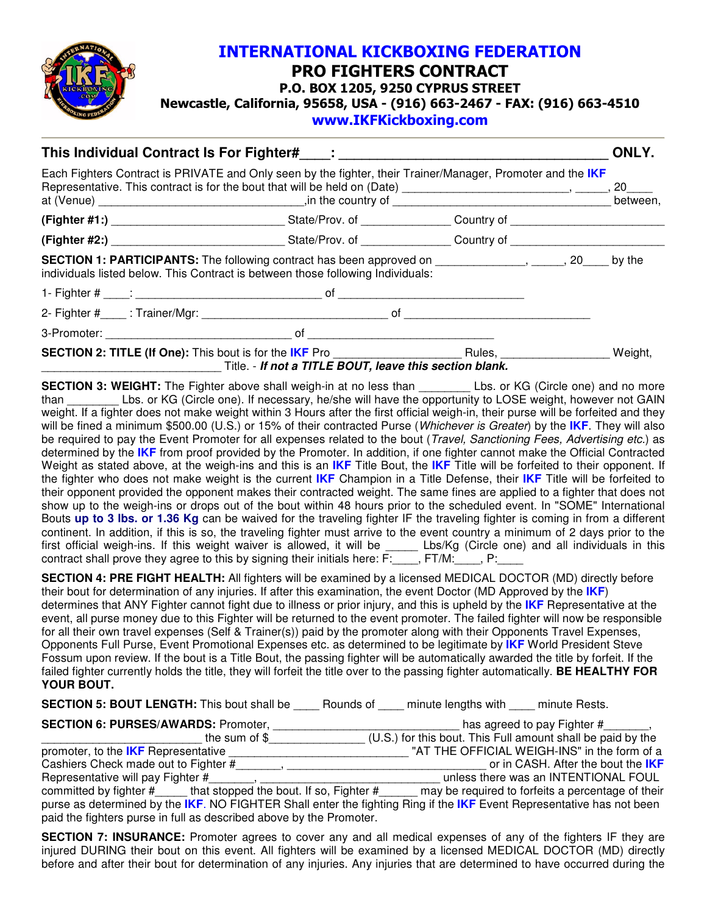

## INTERNATIONAL KICKBOXING FEDERATION PRO FIGHTERS CONTRACT P.O. BOX 1205, 9250 CYPRUS STREET Newcastle, California, 95658, USA - (916) 663-2467 - FAX: (916) 663-4510 www.IKFKickboxing.com

| This Individual Contract Is For Fighter# [19] : [19] This Individual Contract Is For Fighter# [19] :<br>Each Fighters Contract is PRIVATE and Only seen by the fighter, their Trainer/Manager, Promoter and the IKF<br>Representative. This contract is for the bout that will be held on (Date) ___________________________________, 20_____ |                                                                                                                                                                                                 |  |  |         |
|-----------------------------------------------------------------------------------------------------------------------------------------------------------------------------------------------------------------------------------------------------------------------------------------------------------------------------------------------|-------------------------------------------------------------------------------------------------------------------------------------------------------------------------------------------------|--|--|---------|
|                                                                                                                                                                                                                                                                                                                                               |                                                                                                                                                                                                 |  |  |         |
|                                                                                                                                                                                                                                                                                                                                               |                                                                                                                                                                                                 |  |  |         |
|                                                                                                                                                                                                                                                                                                                                               | <b>SECTION 1: PARTICIPANTS:</b> The following contract has been approved on $\qquad \qquad 20 \qquad$ by the<br>individuals listed below. This Contract is between those following Individuals: |  |  |         |
|                                                                                                                                                                                                                                                                                                                                               |                                                                                                                                                                                                 |  |  |         |
|                                                                                                                                                                                                                                                                                                                                               |                                                                                                                                                                                                 |  |  |         |
|                                                                                                                                                                                                                                                                                                                                               |                                                                                                                                                                                                 |  |  |         |
|                                                                                                                                                                                                                                                                                                                                               | <b>SECTION 2: TITLE (If One):</b> This bout is for the IKF Pro Rules, Rules,<br>Title. - If not a TITLE BOUT, leave this section blank.                                                         |  |  | Weight, |

**SECTION 3: WEIGHT:** The Fighter above shall weigh-in at no less than \_\_\_\_\_\_\_\_\_ Lbs. or KG (Circle one) and no more Lbs. or KG (Circle one). If necessary, he/she will have the opportunity to LOSE weight, however not GAIN weight. If a fighter does not make weight within 3 Hours after the first official weigh-in, their purse will be forfeited and they will be fined a minimum \$500.00 (U.S.) or 15% of their contracted Purse (Whichever is Greater) by the **IKF**. They will also be required to pay the Event Promoter for all expenses related to the bout (Travel, Sanctioning Fees, Advertising etc.) as determined by the **IKF** from proof provided by the Promoter. In addition, if one fighter cannot make the Official Contracted Weight as stated above, at the weigh-ins and this is an **IKF** Title Bout, the **IKF** Title will be forfeited to their opponent. If the fighter who does not make weight is the current **IKF** Champion in a Title Defense, their **IKF** Title will be forfeited to their opponent provided the opponent makes their contracted weight. The same fines are applied to a fighter that does not show up to the weigh-ins or drops out of the bout within 48 hours prior to the scheduled event. In "SOME" International Bouts **up to 3 lbs. or 1.36 Kg** can be waived for the traveling fighter IF the traveling fighter is coming in from a different continent. In addition, if this is so, the traveling fighter must arrive to the event country a minimum of 2 days prior to the first official weigh-ins. If this weight waiver is allowed, it will be \_\_\_\_\_ Lbs/Kg (Circle one) and all individuals in this contract shall prove they agree to this by signing their initials here: F:\_\_\_\_, FT/M:\_\_\_\_, P:\_\_\_\_

**SECTION 4: PRE FIGHT HEALTH:** All fighters will be examined by a licensed MEDICAL DOCTOR (MD) directly before their bout for determination of any injuries. If after this examination, the event Doctor (MD Approved by the **IKF**) determines that ANY Fighter cannot fight due to illness or prior injury, and this is upheld by the **IKF** Representative at the event, all purse money due to this Fighter will be returned to the event promoter. The failed fighter will now be responsible for all their own travel expenses (Self & Trainer(s)) paid by the promoter along with their Opponents Travel Expenses, Opponents Full Purse, Event Promotional Expenses etc. as determined to be legitimate by **IKF** World President Steve Fossum upon review. If the bout is a Title Bout, the passing fighter will be automatically awarded the title by forfeit. If the failed fighter currently holds the title, they will forfeit the title over to the passing fighter automatically. **BE HEALTHY FOR YOUR BOUT.**

**SECTION 5: BOUT LENGTH:** This bout shall be \_\_\_\_ Rounds of \_\_\_\_ minute lengths with \_\_\_\_ minute Rests.

| <b>SECTION 6: PURSES/AWARDS: Promoter,</b>                                                                                                                                                   | has agreed to pay Fighter #,                                |  |  |  |
|----------------------------------------------------------------------------------------------------------------------------------------------------------------------------------------------|-------------------------------------------------------------|--|--|--|
| the sum of $$$                                                                                                                                                                               | (U.S.) for this bout. This Full amount shall be paid by the |  |  |  |
| promoter, to the <b>IKF</b> Representative                                                                                                                                                   | "AT THE OFFICIAL WEIGH-INS" in the form of a                |  |  |  |
| Cashiers Check made out to Fighter #                                                                                                                                                         | or in CASH. After the bout the IKF                          |  |  |  |
| Representative will pay Fighter #                                                                                                                                                            | unless there was an INTENTIONAL FOUL                        |  |  |  |
| committed by fighter #______ that stopped the bout. If so, Fighter #_                                                                                                                        | may be required to forfeits a percentage of their           |  |  |  |
| purse as determined by the IKF. NO FIGHTER Shall enter the fighting Ring if the IKF Event Representative has not been<br>paid the fighters purse in full as described above by the Promoter. |                                                             |  |  |  |

**SECTION 7: INSURANCE:** Promoter agrees to cover any and all medical expenses of any of the fighters IF they are injured DURING their bout on this event. All fighters will be examined by a licensed MEDICAL DOCTOR (MD) directly before and after their bout for determination of any injuries. Any injuries that are determined to have occurred during the